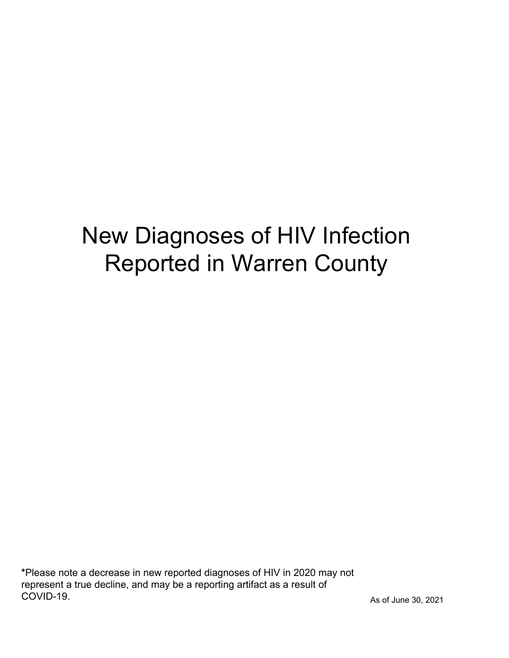# New Diagnoses of HIV Infection Reported in Warren County

\*Please note a decrease in new reported diagnoses of HIV in 2020 may not represent a true decline, and may be a reporting artifact as a result of COVID-19.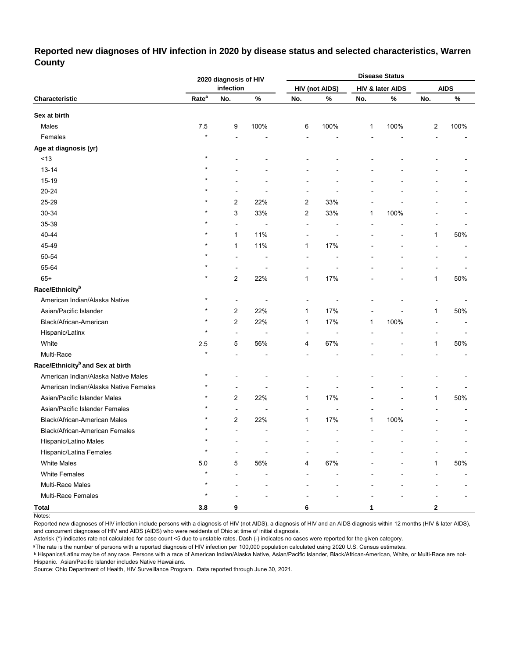#### **Reported new diagnoses of HIV infection in 2020 by disease status and selected characteristics, Warren County**

|                                              |                   | 2020 diagnosis of HIV   |                          |     |                       |     | <b>Disease Status</b> |                |             |
|----------------------------------------------|-------------------|-------------------------|--------------------------|-----|-----------------------|-----|-----------------------|----------------|-------------|
|                                              |                   | infection               |                          |     | <b>HIV (not AIDS)</b> |     | HIV & later AIDS      |                | <b>AIDS</b> |
| Characteristic                               | Rate <sup>a</sup> | No.                     | $\%$                     | No. | $\%$                  | No. | $\%$                  | No.            | $\%$        |
| Sex at birth                                 |                   |                         |                          |     |                       |     |                       |                |             |
| Males                                        | 7.5               | 9                       | 100%                     | 6   | 100%                  | 1   | 100%                  | $\overline{c}$ | 100%        |
| Females                                      | $\star$           |                         |                          |     |                       |     |                       |                |             |
| Age at diagnosis (yr)                        |                   |                         |                          |     |                       |     |                       |                |             |
| $<13$                                        | $\star$           |                         |                          |     |                       |     |                       |                |             |
| $13 - 14$                                    |                   |                         |                          |     |                       |     |                       |                |             |
| 15-19                                        |                   |                         |                          |     |                       |     |                       |                |             |
| 20-24                                        |                   |                         |                          |     |                       |     |                       |                |             |
| 25-29                                        |                   | 2                       | 22%                      | 2   | 33%                   |     |                       |                |             |
| 30-34                                        |                   | 3                       | 33%                      | 2   | 33%                   | 1   | 100%                  |                |             |
| 35-39                                        |                   | $\overline{a}$          |                          | Ĭ.  |                       |     |                       |                |             |
| 40-44                                        |                   | 1                       | 11%                      |     | Ĭ.                    |     |                       | 1              | 50%         |
| 45-49                                        |                   | 1                       | 11%                      | 1   | 17%                   |     |                       |                |             |
| 50-54                                        |                   | Ĭ.                      |                          | Ē,  |                       |     |                       |                |             |
| 55-64                                        |                   |                         |                          |     |                       |     |                       |                |             |
| $65+$                                        |                   | 2                       | 22%                      | 1   | 17%                   |     |                       | $\mathbf{1}$   | 50%         |
| Race/Ethnicity <sup>b</sup>                  |                   |                         |                          |     |                       |     |                       |                |             |
| American Indian/Alaska Native                | $\star$           | ÷                       |                          | ۰   |                       |     |                       |                |             |
| Asian/Pacific Islander                       |                   | 2                       | 22%                      | 1   | 17%                   |     |                       | 1              | 50%         |
| Black/African-American                       | $\star$           | 2                       | 22%                      | 1   | 17%                   | 1   | 100%                  |                |             |
| Hispanic/Latinx                              | $\star$           | L,                      | $\overline{a}$           | ÷   | $\overline{a}$        |     |                       |                |             |
| White                                        | 2.5               | 5                       | 56%                      | 4   | 67%                   |     |                       | 1              | 50%         |
| Multi-Race                                   |                   |                         |                          |     |                       |     |                       |                |             |
| Race/Ethnicity <sup>b</sup> and Sex at birth |                   |                         |                          |     |                       |     |                       |                |             |
| American Indian/Alaska Native Males          | $\star$           |                         |                          |     |                       |     |                       |                |             |
| American Indian/Alaska Native Females        |                   |                         |                          |     |                       |     |                       |                |             |
| Asian/Pacific Islander Males                 |                   | $\overline{\mathbf{c}}$ | 22%                      | 1   | 17%                   |     |                       | 1              | 50%         |
| Asian/Pacific Islander Females               |                   | $\overline{a}$          |                          |     | ۰                     |     |                       |                |             |
| Black/African-American Males                 |                   | 2                       | 22%                      | 1   | 17%                   | 1   | 100%                  |                |             |
| Black/African-American Females               | $\star$           | $\blacksquare$          | $\overline{\phantom{a}}$ |     | ٠                     |     |                       |                |             |
| Hispanic/Latino Males                        | $\star$           |                         |                          |     |                       |     |                       |                |             |
| <b>Hispanic/Latina Females</b>               | $\star$           |                         |                          |     |                       |     |                       |                |             |
| <b>White Males</b>                           | 5.0               | 5                       | 56%                      | 4   | 67%                   |     |                       | $\mathbf{1}$   | 50%         |
| <b>White Females</b>                         | $\star$           |                         |                          |     |                       |     |                       |                |             |
| Multi-Race Males                             |                   |                         |                          |     |                       |     |                       |                |             |
| Multi-Race Females                           | $\star$           |                         |                          |     |                       |     |                       |                |             |
| <b>Total</b>                                 | 3.8               | 9                       |                          | 6   |                       | 1   |                       | $\mathbf{2}$   |             |

Notes:

Reported new diagnoses of HIV infection include persons with a diagnosis of HIV (not AIDS), a diagnosis of HIV and an AIDS diagnosis within 12 months (HIV & later AIDS), and concurrent diagnoses of HIV and AIDS (AIDS) who were residents of Ohio at time of initial diagnosis.

Asterisk (\*) indicates rate not calculated for case count <5 due to unstable rates. Dash (-) indicates no cases were reported for the given category.

<sup>a</sup>The rate is the number of persons with a reported diagnosis of HIV infection per 100,000 population calculated using 2020 U.S. Census estimates.

ᵇ Hispanics/Latinx may be of any race. Persons with a race of American Indian/Alaska Native, Asian/Pacific Islander, Black/African-American, White, or Multi-Race are not-Hispanic. Asian/Pacific Islander includes Native Hawaiians.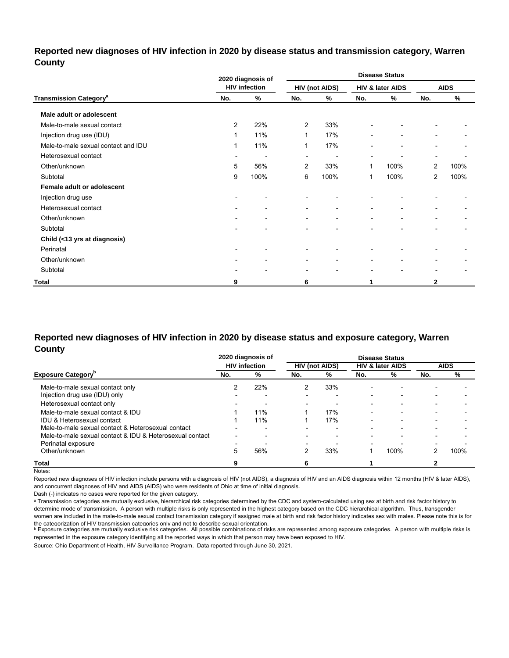#### **Reported new diagnoses of HIV infection in 2020 by disease status and transmission category, Warren County**

|                                          |                          | 2020 diagnosis of            |                          |                          |                          | <b>Disease Status</b>    |                          |             |
|------------------------------------------|--------------------------|------------------------------|--------------------------|--------------------------|--------------------------|--------------------------|--------------------------|-------------|
|                                          |                          | <b>HIV infection</b>         |                          | <b>HIV (not AIDS)</b>    |                          | HIV & later AIDS         |                          | <b>AIDS</b> |
| <b>Transmission Category<sup>a</sup></b> | No.                      | $\%$                         | No.                      | %                        | No.                      | %                        | No.                      | $\%$        |
| Male adult or adolescent                 |                          |                              |                          |                          |                          |                          |                          |             |
| Male-to-male sexual contact              | 2                        | 22%                          | $\overline{2}$           | 33%                      |                          |                          |                          |             |
| Injection drug use (IDU)                 | 1                        | 11%                          | $\mathbf{1}$             | 17%                      |                          | $\overline{\phantom{a}}$ |                          |             |
| Male-to-male sexual contact and IDU      | 1                        | 11%                          | 1                        | 17%                      |                          | $\overline{\phantom{0}}$ | $\overline{\phantom{0}}$ |             |
| Heterosexual contact                     | $\overline{\phantom{a}}$ | $\overline{\phantom{a}}$     | $\overline{\phantom{a}}$ | ٠                        |                          |                          | $\overline{\phantom{a}}$ |             |
| Other/unknown                            | 5                        | 56%                          | $\overline{2}$           | 33%                      | 1                        | 100%                     | $\overline{2}$           | 100%        |
| Subtotal                                 | 9                        | 100%                         | 6                        | 100%                     | 1                        | 100%                     | $\overline{2}$           | 100%        |
| Female adult or adolescent               |                          |                              |                          |                          |                          |                          |                          |             |
| Injection drug use                       | $\overline{\phantom{0}}$ | ۰                            | $\blacksquare$           |                          |                          |                          |                          |             |
| Heterosexual contact                     | $\overline{\phantom{a}}$ | ٠                            | ٠                        | $\overline{\phantom{a}}$ |                          | $\overline{\phantom{a}}$ |                          |             |
| Other/unknown                            | ۰                        | ٠                            | $\overline{\phantom{a}}$ | -                        | $\overline{\phantom{a}}$ | $\overline{\phantom{a}}$ |                          |             |
| Subtotal                                 | -                        | $\qquad \qquad \blacksquare$ | $\blacksquare$           | -                        |                          | $\overline{\phantom{0}}$ | ۰                        |             |
| Child (<13 yrs at diagnosis)             |                          |                              |                          |                          |                          |                          |                          |             |
| Perinatal                                | $\overline{\phantom{0}}$ |                              |                          |                          |                          |                          |                          |             |
| Other/unknown                            | $\overline{\phantom{a}}$ | $\blacksquare$               | $\overline{\phantom{a}}$ | $\blacksquare$           |                          |                          |                          |             |
| Subtotal                                 | $\overline{\phantom{0}}$ | $\blacksquare$               | ٠                        | $\blacksquare$           | $\overline{\phantom{0}}$ | $\blacksquare$           | $\blacksquare$           |             |
| Total                                    | 9                        |                              | 6                        |                          |                          |                          | 2                        |             |

#### **Reported new diagnoses of HIV infection in 2020 by disease status and exposure category, Warren County**

|                                                          |     | 2020 diagnosis of        | <b>Disease Status</b>    |                       |                          |                             |                          |             |  |  |
|----------------------------------------------------------|-----|--------------------------|--------------------------|-----------------------|--------------------------|-----------------------------|--------------------------|-------------|--|--|
|                                                          |     | <b>HIV</b> infection     |                          | <b>HIV (not AIDS)</b> |                          | <b>HIV &amp; later AIDS</b> |                          | <b>AIDS</b> |  |  |
| <b>Exposure Category</b> "                               | No. | %                        | No.                      | %                     | No.                      | %                           | No.                      | %           |  |  |
| Male-to-male sexual contact only                         |     | 22%                      |                          | 33%                   | $\overline{\phantom{0}}$ |                             |                          |             |  |  |
| Injection drug use (IDU) only                            |     |                          |                          | $\blacksquare$        | $\overline{\phantom{0}}$ |                             |                          |             |  |  |
| Heterosexual contact only                                |     | ۰                        |                          | $\blacksquare$        | $\overline{\phantom{0}}$ | $\overline{\phantom{0}}$    |                          |             |  |  |
| Male-to-male sexual contact & IDU                        |     | 11%                      |                          | 17%                   | $\overline{\phantom{a}}$ | $\overline{\phantom{0}}$    | $\overline{\phantom{0}}$ |             |  |  |
| IDU & Heterosexual contact                               |     | 11%                      |                          | 17%                   |                          |                             |                          |             |  |  |
| Male-to-male sexual contact & Heterosexual contact       |     | $\overline{\phantom{0}}$ |                          | $\blacksquare$        | -                        | $\overline{\phantom{0}}$    | $\overline{\phantom{a}}$ |             |  |  |
| Male-to-male sexual contact & IDU & Heterosexual contact |     | $\overline{\phantom{0}}$ |                          | -                     |                          |                             |                          |             |  |  |
| Perinatal exposure                                       | -   |                          | $\overline{\phantom{a}}$ |                       | -                        |                             | $\overline{\phantom{a}}$ |             |  |  |
| Other/unknown                                            | 5   | 56%                      |                          | 33%                   |                          | 100%                        | 2                        | 100%        |  |  |
| Total                                                    |     |                          | 6                        |                       |                          |                             |                          |             |  |  |

Notes:

Reported new diagnoses of HIV infection include persons with a diagnosis of HIV (not AIDS), a diagnosis of HIV and an AIDS diagnosis within 12 months (HIV & later AIDS), and concurrent diagnoses of HIV and AIDS (AIDS) who were residents of Ohio at time of initial diagnosis.

Dash (-) indicates no cases were reported for the given category.

a Transmission categories are mutually exclusive, hierarchical risk categories determined by the CDC and system-calculated using sex at birth and risk factor history to determine mode of transmission. A person with multiple risks is only represented in the highest category based on the CDC hierarchical algorithm. Thus, transgender women are included in the male-to-male sexual contact transmission category if assigned male at birth and risk factor history indicates sex with males. Please note this is for

the cateqorization of HIV transmission cateqories only and not to describe sexual orientation.<br>▷ Exposure categories are mutually exclusive risk categories. All possible combinations of risks are represented among exposu represented in the exposure category identifying all the reported ways in which that person may have been exposed to HIV.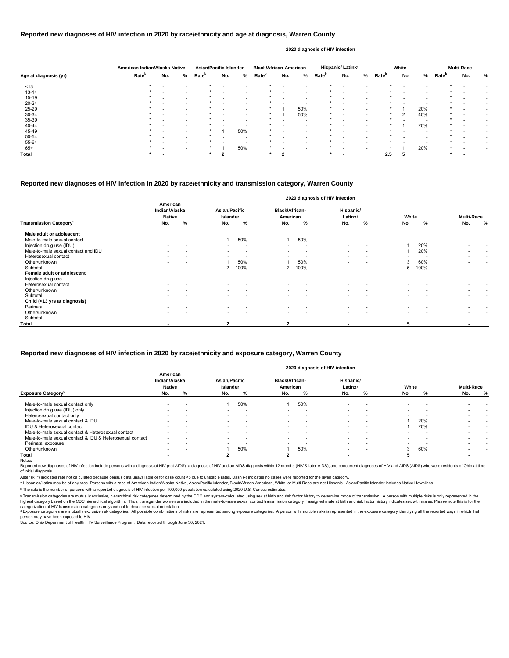|                       | American Indian/Alaska Native |     |                          | <b>Asian/Pacific Islander</b> |     |     | <b>Black/African-American</b> |     |                          |                   | Hispanic/Latinx <sup>a</sup> |   |                   | White |     |                   | <b>Multi-Race</b> |   |
|-----------------------|-------------------------------|-----|--------------------------|-------------------------------|-----|-----|-------------------------------|-----|--------------------------|-------------------|------------------------------|---|-------------------|-------|-----|-------------------|-------------------|---|
| Age at diagnosis (yr) | Rate <sup>b</sup>             | No. | %                        | Rate <sup>b</sup>             | No. | %   | Rate <sup>b</sup>             | No. | %                        | Rate <sup>b</sup> | No.                          | % | Rate <sup>b</sup> | No.   | %   | Rate <sup>b</sup> | No.               | % |
| ~13                   |                               |     |                          |                               |     |     |                               |     |                          |                   | $\overline{\phantom{a}}$     |   |                   |       |     |                   |                   |   |
| $13 - 14$             |                               |     |                          |                               |     |     |                               |     | $\overline{\phantom{0}}$ |                   |                              |   |                   |       |     |                   |                   |   |
| $15 - 19$             |                               |     | $\overline{\phantom{0}}$ |                               |     |     |                               |     | $\overline{\phantom{0}}$ |                   | $\overline{\phantom{a}}$     |   |                   |       |     |                   |                   |   |
| 20-24                 |                               |     | $\overline{\phantom{0}}$ |                               |     |     |                               |     |                          |                   |                              |   |                   |       |     |                   |                   |   |
| 25-29                 |                               |     |                          |                               |     |     |                               |     | 50%                      |                   |                              |   |                   |       | 20% |                   |                   |   |
| 30-34                 |                               |     |                          |                               |     |     |                               |     | 50%                      |                   |                              |   |                   | າ     | 40% |                   |                   |   |
| 35-39                 |                               |     | $\overline{\phantom{0}}$ |                               |     |     |                               |     | . .                      |                   |                              |   |                   |       |     |                   |                   |   |
| 40-44                 |                               |     |                          |                               |     |     |                               |     | $\overline{\phantom{0}}$ |                   |                              |   |                   |       | 20% |                   |                   |   |
| 45-49                 |                               |     |                          |                               |     | 50% |                               |     |                          |                   |                              |   |                   |       |     |                   |                   |   |
| 50-54                 |                               |     |                          |                               |     |     |                               |     |                          |                   |                              |   |                   |       |     |                   |                   |   |
| 55-64                 |                               |     |                          |                               |     |     |                               |     |                          |                   |                              |   |                   |       |     |                   |                   |   |
| $65+$                 |                               |     |                          |                               |     | 50% |                               |     |                          |                   |                              |   |                   |       | 20% |                   |                   |   |
| <b>Total</b>          |                               |     |                          |                               |     |     |                               |     |                          |                   |                              |   | 2.5               |       |     |                   |                   |   |

Reported new diagnoses of HIV infection include persons with a diagnosis of HIV (not AIDS), a diagnosis of HIV and an AIDS diagnosis within 12 months (HIV & later AIDS), and concurrent diagnoses of HIV and AIDS (AIDS) who of initial diagnosis.

|                                           |                                            |   |                                         |                          |                                   |                          | 2020 diagnosis of HIV infection  |                          |                          |      |                          |                          |
|-------------------------------------------|--------------------------------------------|---|-----------------------------------------|--------------------------|-----------------------------------|--------------------------|----------------------------------|--------------------------|--------------------------|------|--------------------------|--------------------------|
|                                           | American<br>Indian/Alaska<br><b>Native</b> |   | <b>Asian/Pacific</b><br><b>Islander</b> |                          | <b>Black/African-</b><br>American |                          | Hispanic/<br>Latinx <sup>a</sup> |                          | White                    |      | <b>Multi-Race</b>        |                          |
| <b>Transmission Category</b> <sup>c</sup> | No.                                        | % | No.                                     | %                        | No.                               | %                        | No.                              | %                        | No.                      | %    | No.                      | $\%$                     |
| Male adult or adolescent                  |                                            |   |                                         |                          |                                   |                          |                                  |                          |                          |      |                          |                          |
| Male-to-male sexual contact               |                                            |   |                                         | 50%                      |                                   | 50%                      |                                  |                          |                          |      |                          |                          |
| Injection drug use (IDU)                  |                                            |   | $\overline{\phantom{0}}$                |                          | $\overline{\phantom{0}}$          | $\overline{\phantom{a}}$ | $\overline{\phantom{a}}$         | $\overline{\phantom{0}}$ |                          | 20%  |                          |                          |
| Male-to-male sexual contact and IDU       |                                            |   | $\sim$                                  |                          | $\overline{\phantom{0}}$          |                          | $\overline{\phantom{a}}$         | $\overline{\phantom{0}}$ |                          | 20%  |                          |                          |
| Heterosexual contact                      |                                            |   | $\overline{\phantom{a}}$                |                          | $\overline{\phantom{a}}$          |                          | $\overline{\phantom{0}}$         |                          |                          |      | $\overline{\phantom{0}}$ | $\overline{\phantom{a}}$ |
| Other/unknown                             | $\overline{\phantom{0}}$                   |   |                                         | 50%                      |                                   | 50%                      | $\overline{\phantom{a}}$         | $\overline{\phantom{a}}$ | 3                        | 60%  |                          | $\overline{\phantom{0}}$ |
| Subtotal                                  |                                            |   | 2                                       | 100%                     | $\mathbf{2}^{\circ}$              | 100%                     |                                  |                          | 5                        | 100% |                          |                          |
| Female adult or adolescent                |                                            |   |                                         |                          |                                   |                          |                                  |                          |                          |      |                          |                          |
| Injection drug use                        |                                            |   |                                         |                          |                                   |                          |                                  |                          |                          |      |                          |                          |
| Heterosexual contact                      |                                            |   | $\sim$                                  |                          |                                   |                          | $\overline{\phantom{0}}$         |                          |                          |      | $\overline{\phantom{0}}$ | $\overline{\phantom{0}}$ |
| Other/unknown                             |                                            |   | $\sim$                                  | $\overline{\phantom{0}}$ | $\overline{\phantom{0}}$          | $\overline{\phantom{0}}$ | $\overline{\phantom{a}}$         | $\overline{\phantom{a}}$ | $\overline{\phantom{0}}$ |      | $\overline{\phantom{0}}$ | $\overline{\phantom{a}}$ |
| Subtotal                                  |                                            |   |                                         |                          |                                   |                          |                                  |                          |                          |      |                          |                          |
| Child (<13 yrs at diagnosis)              |                                            |   |                                         |                          |                                   |                          |                                  |                          |                          |      |                          |                          |
| Perinatal                                 |                                            |   |                                         |                          |                                   |                          |                                  |                          |                          |      |                          |                          |
| Other/unknown                             |                                            |   | $\overline{\phantom{a}}$                |                          |                                   |                          | $\overline{\phantom{a}}$         | $\overline{\phantom{0}}$ |                          |      |                          |                          |
| Subtotal                                  |                                            |   | $\overline{\phantom{0}}$                |                          | $\overline{\phantom{0}}$          |                          | $\overline{\phantom{a}}$         |                          |                          |      |                          |                          |
| Total                                     |                                            |   | $\mathbf{2}$                            |                          | $\mathbf{2}$                      |                          |                                  |                          | 5                        |      | $\blacksquare$           |                          |

© Transmission categories are mutually exclusive, hierarchical risk categories determined by the CDC and system-calculated using sex at birth and risk factor history to determine mode of transmission. A person with multip highest category based on the CDC hierarchical algorithm. Thus, transgender women are included in the male-to-male sexual contact transmission category if assigned male at birth and risk factor history indicates sex with m categorization of HIV transmission categories only and not to describe sexual orientation.

#### **Reported new diagnoses of HIV infection in 2020 by race/ethnicity and age at diagnosis, Warren County**

<sup>d</sup> Exposure categories are mutually exclusive risk categories. All possible combinations of risks are represented among exposure categories. A person with multiple risks is represented in the exposure category identifyin person may have been exposed to HIV.

#### **2020 diagnosis of HIV infection**

#### **Reported new diagnoses of HIV infection in 2020 by race/ethnicity and transmission category, Warren County**

Source: Ohio Department of Health, HIV Surveillance Program. Data reported through June 30, 2021.

|                                                          | American<br>Indian/Alaska<br><b>Native</b> |                          | <b>Asian/Pacific</b><br><b>Islander</b> |     | <b>Black/African-</b><br>American |                          | Hispanic/<br>Latinx <sup>a</sup> |                          | White                    |     | <b>Multi-Race</b>        |                          |
|----------------------------------------------------------|--------------------------------------------|--------------------------|-----------------------------------------|-----|-----------------------------------|--------------------------|----------------------------------|--------------------------|--------------------------|-----|--------------------------|--------------------------|
| <b>Exposure Category<sup>a</sup></b>                     | No.                                        | %                        | No.                                     | %   | No.                               | ‰                        | No.                              | ℅                        | No.                      | %   | No.                      | %                        |
| Male-to-male sexual contact only                         | $\overline{\phantom{0}}$                   | $\overline{\phantom{0}}$ |                                         | 50% |                                   | 50%                      | $\overline{\phantom{0}}$         |                          |                          |     |                          |                          |
| Injection drug use (IDU) only                            | $\overline{\phantom{a}}$                   | $\overline{\phantom{a}}$ |                                         |     |                                   | . .                      | $\overline{\phantom{a}}$         | $\overline{\phantom{0}}$ | $\overline{\phantom{a}}$ |     |                          |                          |
| Heterosexual contact only                                | $\overline{\phantom{a}}$                   | $\overline{\phantom{0}}$ | $\overline{\phantom{0}}$                |     |                                   |                          | -                                |                          | $\overline{\phantom{0}}$ |     |                          |                          |
| Male-to-male sexual contact & IDU                        | $\overline{\phantom{0}}$                   | $\overline{\phantom{0}}$ | $\overline{\phantom{0}}$                |     | $-$                               | -                        | $\overline{\phantom{0}}$         | $\overline{\phantom{0}}$ |                          | 20% |                          | $\overline{\phantom{0}}$ |
| IDU & Heterosexual contact                               | $\overline{\phantom{0}}$                   | $\overline{\phantom{a}}$ |                                         |     |                                   | -                        | $\overline{\phantom{0}}$         |                          |                          | 20% |                          |                          |
| Male-to-male sexual contact & Heterosexual contact       | $\overline{\phantom{0}}$                   | $\overline{\phantom{0}}$ | $\overline{\phantom{0}}$                |     |                                   | $\overline{\phantom{a}}$ | $\overline{\phantom{0}}$         |                          |                          |     |                          |                          |
| Male-to-male sexual contact & IDU & Heterosexual contact | $\overline{\phantom{a}}$                   | $\overline{\phantom{0}}$ |                                         |     |                                   |                          |                                  |                          |                          |     |                          |                          |
| Perinatal exposure                                       | $\overline{\phantom{0}}$                   | $\overline{\phantom{a}}$ |                                         |     |                                   |                          | -                                |                          |                          |     |                          |                          |
| Other/unknown                                            | $\overline{\phantom{a}}$                   | $\overline{\phantom{a}}$ |                                         | 50% |                                   | 50%                      | $\overline{\phantom{0}}$         | $\overline{\phantom{a}}$ |                          | 60% | $\overline{\phantom{0}}$ |                          |
| Total                                                    |                                            |                          |                                         |     |                                   |                          |                                  |                          |                          |     |                          |                          |
| Notes:                                                   |                                            |                          |                                         |     |                                   |                          |                                  |                          |                          |     |                          |                          |

#### **Reported new diagnoses of HIV infection in 2020 by race/ethnicity and exposure category, Warren County**

#### **2020 diagnosis of HIV infection**

Asterisk (\*) indicates rate not calculated because census data unavailable or for case count <5 due to unstable rates. Dash (-) indicates no cases were reported for the given category.

a Hispanics/Latinx may be of any race. Persons with a race of American Indian/Alaska Native, Asian/Pacific Islander, Black/African-American, White, or Multi-Race are not-Hispanic. Asian/Pacific Islander includes Native Haw

ᵇ The rate is the number of persons with a reported diagnosis of HIV infection per 100,000 population calculated using 2020 U.S. Census estimates.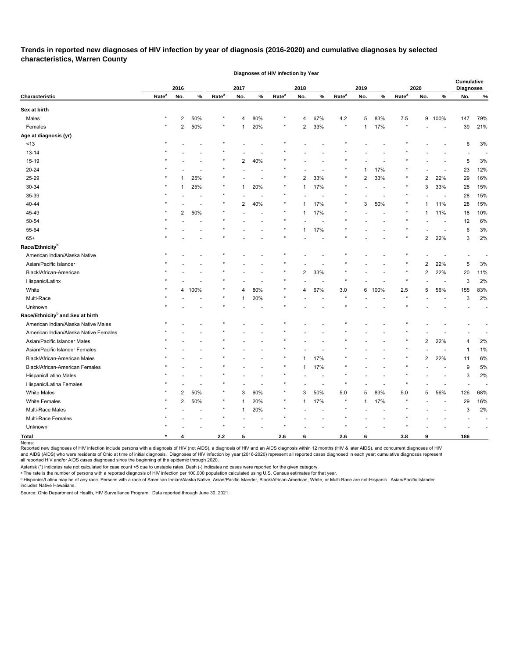## **Trends in reported new diagnoses of HIV infection by year of diagnosis (2016-2020) and cumulative diagnoses by selected characteristics, Warren County**

|                                              |                   |                |      |                   |                |        | Diagnoses of HIV Infection by Year |                |      |                   |                |      |                   |                |                          |                          |                          |
|----------------------------------------------|-------------------|----------------|------|-------------------|----------------|--------|------------------------------------|----------------|------|-------------------|----------------|------|-------------------|----------------|--------------------------|--------------------------|--------------------------|
|                                              |                   |                |      |                   |                |        |                                    |                |      |                   |                |      |                   |                |                          | <b>Cumulative</b>        |                          |
| Characteristic                               | Rate <sup>a</sup> | 2016<br>No.    | %    | Rate <sup>a</sup> | 2017<br>No.    | %      | Rate <sup>a</sup>                  | 2018<br>No.    | $\%$ | Rate <sup>a</sup> | 2019<br>No.    | %    | Rate <sup>a</sup> | 2020<br>No.    | %                        | <b>Diagnoses</b><br>No.  | $\%$                     |
| Sex at birth                                 |                   |                |      |                   |                |        |                                    |                |      |                   |                |      |                   |                |                          |                          |                          |
| Males                                        | $\star$           | $\overline{c}$ | 50%  | ×                 | $\overline{4}$ | 80%    |                                    | 4              | 67%  | 4.2               | 5              | 83%  | 7.5               |                | 9 100%                   | 147                      | 79%                      |
| Females                                      |                   | $\overline{2}$ | 50%  | $^\star$          | -1             | 20%    | $\star$                            | $\overline{2}$ | 33%  | $\star$           | $\mathbf{1}$   | 17%  | $\star$           |                | $\overline{\phantom{a}}$ | 39                       | 21%                      |
| Age at diagnosis (yr)                        |                   |                |      |                   |                |        |                                    |                |      |                   |                |      |                   |                |                          |                          |                          |
| ~13                                          |                   |                |      | ×                 |                |        |                                    |                |      |                   |                |      |                   |                |                          | 6                        | 3%                       |
| 13-14                                        |                   |                |      |                   |                |        |                                    |                |      |                   |                |      |                   |                |                          |                          |                          |
| 15-19                                        |                   |                |      |                   | $\overline{c}$ | 40%    |                                    |                |      |                   |                |      |                   |                |                          | 5                        | 3%                       |
| 20-24                                        |                   |                |      |                   |                |        |                                    |                |      |                   | 1              | 17%  |                   |                |                          | 23                       | 12%                      |
| 25-29                                        |                   |                | 25%  |                   |                |        | $\ast$                             | 2              | 33%  | $^\ast$           | $\overline{2}$ | 33%  |                   | 2              | 22%                      | 29                       | 16%                      |
| 30-34                                        |                   |                | 25%  | $^\star$          | -1             | 20%    | $^\star$                           | 1              | 17%  | $\star$           |                |      | $\star$           | 3              | 33%                      | 28                       | 15%                      |
| 35-39                                        |                   |                |      |                   |                |        |                                    |                |      |                   |                |      |                   |                |                          | 28                       | 15%                      |
| 40-44                                        |                   |                |      | $^\star$          | $\overline{2}$ | 40%    |                                    |                | 17%  |                   | 3              | 50%  |                   |                | 11%                      | 28                       | 15%                      |
| 45-49                                        |                   | 2              | 50%  | $\star$           |                |        | *                                  | 1              | 17%  |                   |                |      |                   |                | 11%                      | 18                       | 10%                      |
| 50-54                                        |                   |                |      |                   |                |        |                                    |                |      |                   |                |      |                   |                |                          | 12                       | 6%                       |
| 55-64                                        |                   |                |      |                   |                |        |                                    |                | 17%  |                   |                |      |                   |                |                          | 6                        | 3%                       |
| $65+$                                        |                   |                |      |                   |                |        |                                    |                |      |                   |                |      |                   | 2              | 22%                      | 3                        | 2%                       |
| Race/Ethnicity <sup>b</sup>                  |                   |                |      |                   |                |        |                                    |                |      |                   |                |      |                   |                |                          |                          |                          |
| American Indian/Alaska Native                |                   |                |      |                   |                |        |                                    |                |      |                   |                |      |                   |                |                          |                          |                          |
| Asian/Pacific Islander                       |                   |                |      |                   |                |        |                                    |                |      |                   |                |      |                   | 2              | 22%                      | 5                        | 3%                       |
| Black/African-American                       |                   |                |      |                   |                |        |                                    | $\overline{2}$ | 33%  |                   |                |      |                   | $\overline{c}$ | 22%                      | 20                       | 11%                      |
| Hispanic/Latinx                              |                   |                |      |                   |                |        |                                    |                |      |                   |                |      |                   |                |                          | 3                        | 2%                       |
| White                                        |                   | 4              | 100% | $^\star$          | 4              | 80%    |                                    | 4              | 67%  | $3.0\,$           | 6              | 100% | $2.5\,$           | 5              | 56%                      | 155                      | 83%                      |
| Multi-Race                                   |                   |                |      | $^\ast$           | -1             | 20%    |                                    |                |      | $\star$           |                |      |                   |                |                          | 3                        | 2%                       |
| Unknown                                      |                   |                |      | $\star$           |                |        |                                    |                |      |                   |                |      |                   |                |                          |                          |                          |
| Race/Ethnicity <sup>b</sup> and Sex at birth |                   |                |      |                   |                |        |                                    |                |      |                   |                |      |                   |                |                          |                          |                          |
| American Indian/Alaska Native Males          |                   |                |      |                   |                |        |                                    |                |      |                   |                |      |                   |                |                          |                          | $\overline{a}$           |
| American Indian/Alaska Native Females        |                   |                |      |                   |                |        |                                    |                |      |                   |                |      |                   |                |                          |                          |                          |
| Asian/Pacific Islander Males                 |                   |                |      |                   |                |        |                                    |                |      |                   |                |      |                   | $\overline{2}$ | 22%                      | 4                        | 2%                       |
| Asian/Pacific Islander Females               |                   |                |      |                   |                |        |                                    |                |      |                   |                |      |                   |                |                          | 1                        | 1%                       |
| Black/African-American Males                 |                   |                |      |                   |                |        |                                    |                | 17%  |                   |                |      |                   | $\overline{2}$ | 22%                      | 11                       | 6%                       |
| <b>Black/African-American Females</b>        |                   |                |      |                   |                |        |                                    | 1              | 17%  |                   |                |      |                   |                |                          | 9                        | 5%                       |
| Hispanic/Latino Males                        |                   |                |      |                   |                |        |                                    |                |      |                   |                |      |                   |                |                          | 3                        | 2%                       |
| Hispanic/Latina Females                      | $\ast$            |                |      | $^\star$          |                |        | $^\ast$                            |                |      | $\star$           |                |      | $\ast$            |                |                          | $\blacksquare$           |                          |
| <b>White Males</b>                           | $\star$           | $\overline{2}$ | 50%  | $\star$           | 3              | 60%    | $^\star$                           | 3              | 50%  | $5.0\,$           | 5              | 83%  | $5.0\,$           | 5              | 56%                      | 126                      | 68%                      |
| <b>White Females</b>                         | $\star$           | $\overline{c}$ | 50%  | $^\star$          | $\mathbf{1}$   | 20%    | $^\star$                           | $\mathbf{1}$   | 17%  | $\star$           | $\mathbf{1}$   | 17%  | $\ast$            |                | $\overline{\phantom{a}}$ | 29                       | 16%                      |
| Multi-Race Males                             |                   |                |      | $\star$           | $\mathbf{1}$   | 20%    |                                    |                |      |                   |                |      | $\star$           |                |                          | 3                        | 2%                       |
| Multi-Race Females                           |                   |                |      | $\star$           |                | $\sim$ |                                    |                |      |                   |                |      |                   |                |                          | $\overline{\phantom{a}}$ | $\overline{\phantom{a}}$ |
| Unknown                                      |                   |                |      | $^\star$          |                |        | $\star$                            |                |      | $^\star$          |                |      |                   |                |                          |                          |                          |
| Total                                        |                   | 4              |      | $2.2$             | 5              |        | 2.6                                | 6              |      | 2.6               | 6              |      | 3.8               | 9              |                          | 186                      |                          |
| Notes:                                       |                   |                |      |                   |                |        |                                    |                |      |                   |                |      |                   |                |                          |                          |                          |

Reported new diagnoses of HIV infection include persons with a diagnosis of HIV (not AIDS), a diagnosis of HIV and an AIDS diagnosis within 12 months (HIV & later AIDS), and concurrent diagnoses of HIV and AIDS (AIDS) who were residents of Ohio at time of initial diagnosis. Diagnoses of HIV infection by year (2016-2020) represent all reported cases diagnosed in each year; cumulative diagnoses represent all reported HIV and/or AIDS cases diagnosed since the beginning of the epidemic through 2020.

Asterisk (\*) indicates rate not calculated for case count <5 due to unstable rates. Dash (-) indicates no cases were reported for the given category.

ᵃ The rate is the number of persons with a reported diagnosis of HIV infection per 100,000 population calculated using U.S. Census estimates for that year.

<sup>ь</sup> Hispanics/Latinx may be of any race. Persons with a race of American Indian/Alaska Native, Asian/Pacific Islander, Black/African-American, White, or Multi-Race are not-Hispanic. Asian/Pacific Islander includes Native Hawaiians.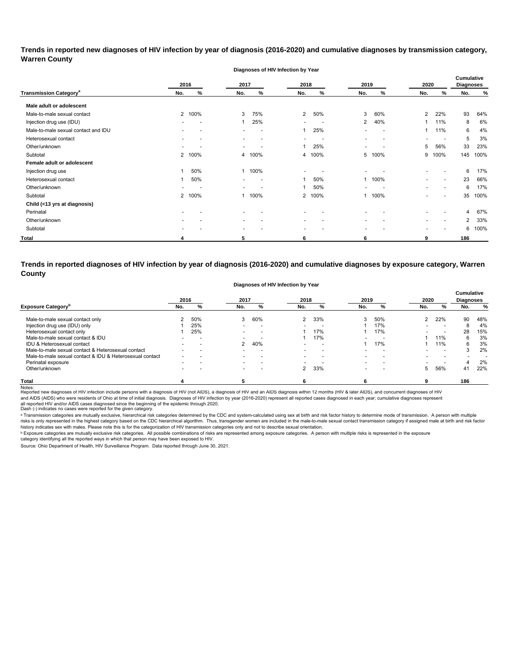## **Trends in reported new diagnoses of HIV infection by year of diagnosis (2016-2020) and cumulative diagnoses by transmission category, Warren County**

**Diagnoses of HIV Infection by Year**

| 2016                                     |                          | 2017   |                          | 2018                     |                          | 2019                     | 2020                     |                          | <b>Cumulative</b><br><b>Diagnoses</b> |                          |     |      |
|------------------------------------------|--------------------------|--------|--------------------------|--------------------------|--------------------------|--------------------------|--------------------------|--------------------------|---------------------------------------|--------------------------|-----|------|
| <b>Transmission Category<sup>a</sup></b> | No.                      | %      | No.                      | %                        | No.                      | %                        | No.                      | %                        | No.                                   | %                        | No. | %    |
| Male adult or adolescent                 |                          |        |                          |                          |                          |                          |                          |                          |                                       |                          |     |      |
| Male-to-male sexual contact              |                          | 2 100% | 3                        | 75%                      | $\overline{2}$           | 50%                      | 3                        | 60%                      | 2                                     | 22%                      | 93  | 64%  |
| Injection drug use (IDU)                 | -                        |        | -1                       | 25%                      | ۰.                       | $\overline{\phantom{a}}$ | $\overline{2}$           | 40%                      | 1                                     | 11%                      | 8   | 6%   |
| Male-to-male sexual contact and IDU      | $\overline{\phantom{0}}$ |        | $\blacksquare$           | $\overline{\phantom{a}}$ | 1                        | 25%                      | $\overline{\phantom{a}}$ | $\overline{\phantom{0}}$ |                                       | 11%                      | 6   | 4%   |
| Heterosexual contact                     |                          |        | $\overline{\phantom{0}}$ | $\overline{\phantom{0}}$ | $\overline{\phantom{0}}$ | $\overline{a}$           | $\overline{\phantom{0}}$ | $\overline{a}$           |                                       |                          | 5   | 3%   |
| Other/unknown                            | $\overline{\phantom{0}}$ |        | $\overline{\phantom{0}}$ |                          | 1                        | 25%                      |                          |                          | 5                                     | 56%                      | 33  | 23%  |
| Subtotal                                 |                          | 2 100% | 4                        | 100%                     | 4                        | 100%                     | 5                        | 100%                     | 9                                     | 100%                     | 145 | 100% |
| Female adult or adolescent               |                          |        |                          |                          |                          |                          |                          |                          |                                       |                          |     |      |
| Injection drug use                       |                          | 50%    | -1                       | 100%                     | $\overline{\phantom{0}}$ |                          | $\overline{\phantom{0}}$ |                          |                                       |                          | 6   | 17%  |
| Heterosexual contact                     |                          | 50%    | $\overline{\phantom{a}}$ | $\overline{\phantom{a}}$ | 1                        | 50%                      |                          | 1 100%                   |                                       | $\overline{\phantom{a}}$ | 23  | 66%  |
| Other/unknown                            |                          |        | $\overline{\phantom{0}}$ |                          | 1                        | 50%                      | $\blacksquare$           |                          |                                       | $\overline{\phantom{a}}$ | 6   | 17%  |
| Subtotal                                 |                          | 2 100% |                          | 100%                     | $\overline{2}$           | 100%                     |                          | 1 100%                   |                                       | $\overline{\phantom{a}}$ | 35  | 100% |
| Child (<13 yrs at diagnosis)             |                          |        |                          |                          |                          |                          |                          |                          |                                       |                          |     |      |
| Perinatal                                |                          |        |                          |                          |                          |                          |                          |                          |                                       |                          | 4   | 67%  |
| Other/unknown                            |                          |        | $\overline{\phantom{a}}$ |                          | $\overline{\phantom{a}}$ | $\overline{a}$           | $\overline{\phantom{0}}$ |                          |                                       | $\overline{\phantom{a}}$ | 2   | 33%  |
| Subtotal                                 |                          |        | $\overline{\phantom{a}}$ |                          | $\overline{\phantom{a}}$ |                          | $\overline{\phantom{a}}$ |                          |                                       |                          | 6   | 100% |
| <b>Total</b>                             |                          |        | 5                        |                          | 6                        |                          | 6                        |                          | 9                                     |                          | 186 |      |

**Trends in reported diagnoses of HIV infection by year of diagnosis (2016-2020) and cumulative diagnoses by exposure category, Warren County**

| Diagnoses of HIV Infection by Year |  |  |
|------------------------------------|--|--|

|                                                          |     | 2016 | 2017                     |                          | 2018                     |                          | 2019                     |                          | 2020          |                          | <b>Cumulative</b><br><b>Diagnoses</b> |     |
|----------------------------------------------------------|-----|------|--------------------------|--------------------------|--------------------------|--------------------------|--------------------------|--------------------------|---------------|--------------------------|---------------------------------------|-----|
| <b>Exposure Category</b>                                 | No. |      | No.                      | %                        | No.                      | %                        | No.                      | %                        | No.           | %                        | No.                                   | %   |
| Male-to-male sexual contact only                         |     | 50%  | 3                        | 60%                      | $\mathcal{P}$            | 33%                      | 3                        | 50%                      | $\mathcal{P}$ | 22%                      | 90                                    | 48% |
| Injection drug use (IDU) only                            |     | 25%  |                          | $\overline{\phantom{0}}$ |                          |                          |                          | 17%                      |               |                          | 8                                     | 4%  |
| Heterosexual contact only                                |     | 25%  | $\overline{\phantom{0}}$ | $\overline{\phantom{0}}$ |                          | 17%                      |                          | 17%                      |               | $\overline{\phantom{0}}$ | 28                                    | 15% |
| Male-to-male sexual contact & IDU                        |     |      |                          |                          |                          | 17%                      |                          |                          |               | 11%                      | 6                                     | 3%  |
| IDU & Heterosexual contact                               |     |      | 2                        | 40%                      | $\overline{\phantom{0}}$ | $\overline{\phantom{0}}$ |                          | 17%                      |               | 11%                      | 6                                     | 3%  |
| Male-to-male sexual contact & Heterosexual contact       |     |      |                          | $\overline{\phantom{0}}$ | $\overline{\phantom{0}}$ | $\overline{\phantom{0}}$ |                          | $\overline{\phantom{0}}$ |               | $\overline{\phantom{0}}$ |                                       | 2%  |
| Male-to-male sexual contact & IDU & Heterosexual contact |     |      | $\overline{\phantom{0}}$ | $\overline{\phantom{0}}$ | $\overline{\phantom{0}}$ | $\overline{\phantom{0}}$ |                          |                          |               | $\overline{\phantom{0}}$ |                                       |     |
| Perinatal exposure                                       |     |      | $\overline{\phantom{0}}$ |                          |                          |                          |                          |                          |               |                          | 4                                     | 2%  |
| Other/unknown                                            |     |      | $\overline{\phantom{0}}$ |                          | 2                        | 33%                      | $\overline{\phantom{0}}$ |                          | 5.            | 56%                      | 41                                    | 22% |
| Total                                                    |     |      |                          |                          |                          |                          |                          |                          |               |                          | 186                                   |     |

Notes:<br>Reported new diagnoses of HIV infection include persons with a diagnosis of HIV (not AIDS), a diagnosis addignosis of HIDS diagnosis within 12 months (HIV & later AIDS), and concurrent diagnoses of HIV all reported HIV and/or AIDS cases diagnosed since the beginning of the epidemic through 2020.<br>Dash (-) indicates no cases were reported for the given category. and AIDS (AIDS) who were residents of Ohio at time of initial diagnosis. Diagnoses of HIV infection by year (2016-2020) represent all reported cases diagnosed in each year; cumulative diagnoses represent

a Transmission categories are mutually exclusive, hierarchical risk categories determined by the CDC and system-calculated using sex at birth and risk factor history to determine mode of transmission. A person with multip risks is only represented in the highest category based on the CDC hierarchical algorithm. Thus, transgender women are included in the male-to-male sexual contact transmission category if assigned male at birth and risk f history indicates sex with males. Please note this is for the categorization of HIV transmission categories only and not to describe sexual orientation.

 $^{\rm b}$  Exposure categories are mutually exclusive risk categories. All possible combinations of risks are represented among exposure categories. A person with multiple risks is represented in the exposure

category identifying all the reported ways in which that person may have been exposed to HIV. Source: Ohio Department of Health, HIV Surveillance Program. Data reported through June 30, 2021.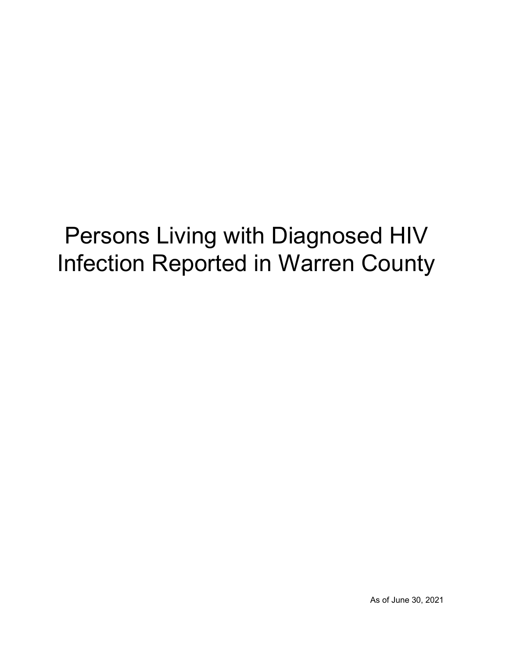## Persons Living with Diagnosed HIV Infection Reported in Warren County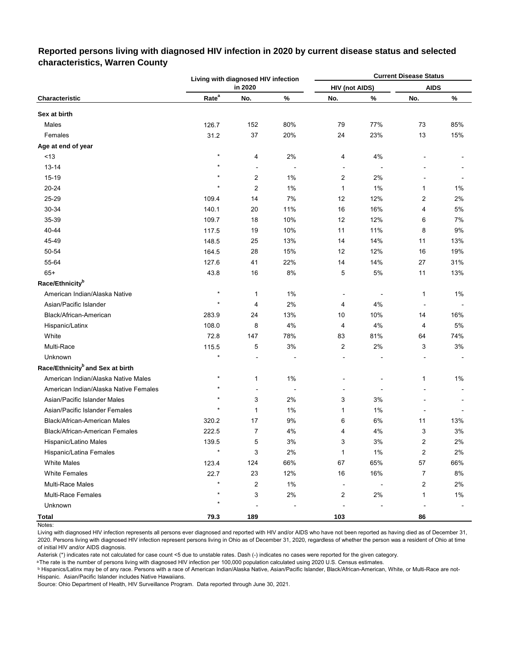|                                              |                   | Living with diagnosed HIV infection |                          |                       |                          | <b>Current Disease Status</b> |       |
|----------------------------------------------|-------------------|-------------------------------------|--------------------------|-----------------------|--------------------------|-------------------------------|-------|
| Characteristic                               |                   | in 2020                             |                          | <b>HIV (not AIDS)</b> |                          | <b>AIDS</b>                   |       |
|                                              | Rate <sup>a</sup> | No.                                 | $\%$                     | No.                   | %                        | No.                           | %     |
| Sex at birth                                 |                   |                                     |                          |                       |                          |                               |       |
| Males                                        | 126.7             | 152                                 | 80%                      | 79                    | 77%                      | 73                            | 85%   |
| Females                                      | 31.2              | 37                                  | 20%                      | 24                    | 23%                      | 13                            | 15%   |
| Age at end of year                           |                   |                                     |                          |                       |                          |                               |       |
| < 13                                         | $\star$           | 4                                   | 2%                       | 4                     | 4%                       |                               |       |
| 13-14                                        | $\star$           | $\overline{\phantom{a}}$            | $\overline{\phantom{a}}$ |                       | $\overline{\phantom{a}}$ |                               |       |
| 15-19                                        |                   | 2                                   | 1%                       | 2                     | 2%                       |                               |       |
| 20-24                                        | $\star$           | 2                                   | 1%                       | 1                     | 1%                       | 1                             | 1%    |
| 25-29                                        | 109.4             | 14                                  | 7%                       | 12                    | 12%                      | 2                             | 2%    |
| 30-34                                        | 140.1             | 20                                  | 11%                      | 16                    | 16%                      | 4                             | 5%    |
| 35-39                                        | 109.7             | 18                                  | 10%                      | 12                    | 12%                      | 6                             | 7%    |
| 40-44                                        | 117.5             | 19                                  | 10%                      | 11                    | 11%                      | 8                             | 9%    |
| 45-49                                        | 148.5             | 25                                  | 13%                      | 14                    | 14%                      | 11                            | 13%   |
| 50-54                                        | 164.5             | 28                                  | 15%                      | 12                    | 12%                      | 16                            | 19%   |
| 55-64                                        | 127.6             | 41                                  | 22%                      | 14                    | 14%                      | 27                            | 31%   |
| $65+$                                        | 43.8              | 16                                  | 8%                       | 5                     | 5%                       | 11                            | 13%   |
| Race/Ethnicity <sup>b</sup>                  |                   |                                     |                          |                       |                          |                               |       |
| American Indian/Alaska Native                | $\star$           | $\mathbf{1}$                        | 1%                       | $\blacksquare$        |                          | 1                             | 1%    |
| Asian/Pacific Islander                       | $\star$           | 4                                   | 2%                       | 4                     | 4%                       | $\overline{\phantom{a}}$      |       |
| Black/African-American                       | 283.9             | 24                                  | 13%                      | 10                    | 10%                      | 14                            | 16%   |
| Hispanic/Latinx                              | 108.0             | 8                                   | 4%                       | 4                     | 4%                       | 4                             | 5%    |
| White                                        | 72.8              | 147                                 | 78%                      | 83                    | 81%                      | 64                            | 74%   |
| Multi-Race                                   | 115.5             | 5                                   | $3%$                     | 2                     | 2%                       | 3                             | 3%    |
| Unknown                                      | $\star$           |                                     |                          |                       |                          |                               |       |
| Race/Ethnicity <sup>b</sup> and Sex at birth |                   |                                     |                          |                       |                          |                               |       |
| American Indian/Alaska Native Males          | $\star$           | 1                                   | 1%                       |                       |                          | 1                             | 1%    |
| American Indian/Alaska Native Females        | $^\star$          | ÷                                   |                          |                       |                          |                               |       |
| Asian/Pacific Islander Males                 | $\star$           | 3                                   | 2%                       | 3                     | 3%                       |                               |       |
| Asian/Pacific Islander Females               | $\star$           | 1                                   | 1%                       | 1                     | $1\%$                    |                               |       |
| Black/African-American Males                 | 320.2             | 17                                  | 9%                       | 6                     | 6%                       | 11                            | 13%   |
| Black/African-American Females               | 222.5             | 7                                   | $4\%$                    | 4                     | $4\%$                    | 3                             | $3%$  |
| Hispanic/Latino Males                        | 139.5             | 5                                   | $3%$                     | 3                     | $3%$                     | 2                             | 2%    |
| Hispanic/Latina Females                      | $\star$           | 3                                   | 2%                       | 1                     | 1%                       | $\boldsymbol{2}$              | 2%    |
| <b>White Males</b>                           | 123.4             | 124                                 | 66%                      | 67                    | 65%                      | 57                            | 66%   |
| <b>White Females</b>                         | 22.7              | 23                                  | 12%                      | 16                    | 16%                      | $\overline{7}$                | 8%    |
| <b>Multi-Race Males</b>                      | $\star$           | 2                                   | 1%                       |                       |                          | 2                             | 2%    |
| Multi-Race Females                           |                   | 3                                   | $2\%$                    | $\overline{c}$        | $2\%$                    | 1                             | $1\%$ |
| Unknown                                      | $\star$           |                                     |                          |                       |                          |                               |       |
| <b>Total</b>                                 | 79.3              | 189                                 |                          | 103                   |                          | 86                            |       |

### **Reported persons living with diagnosed HIV infection in 2020 by current disease status and selected characteristics, Warren County**

Living with diagnosed HIV infection represents all persons ever diagnosed and reported with HIV and/or AIDS who have not been reported as having died as of December 31, 2020. Persons living with diagnosed HIV infection represent persons living in Ohio as of December 31, 2020, regardless of whether the person was a resident of Ohio at time of initial HIV and/or AIDS diagnosis.

Asterisk (\*) indicates rate not calculated for case count <5 due to unstable rates. Dash (-) indicates no cases were reported for the given category.

a The rate is the number of persons living with diagnosed HIV infection per 100,000 population calculated using 2020 U.S. Census estimates.

ᵇ Hispanics/Latinx may be of any race. Persons with a race of American Indian/Alaska Native, Asian/Pacific Islander, Black/African-American, White, or Multi-Race are not-Hispanic. Asian/Pacific Islander includes Native Hawaiians.

Notes: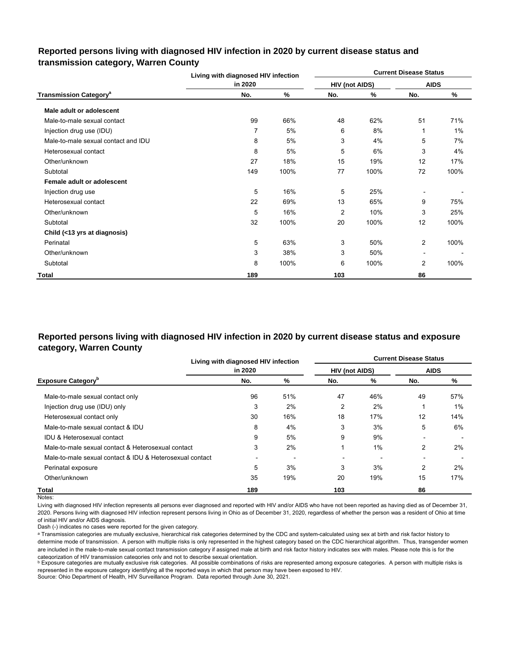|                                          | Living with diagnosed HIV infection<br>in 2020 |      |                |      | <b>Current Disease Status</b> |       |
|------------------------------------------|------------------------------------------------|------|----------------|------|-------------------------------|-------|
|                                          |                                                |      | HIV (not AIDS) |      | <b>AIDS</b>                   |       |
| <b>Transmission Category<sup>a</sup></b> | No.                                            | ℅    | No.            | %    | No.                           | %     |
| Male adult or adolescent                 |                                                |      |                |      |                               |       |
| Male-to-male sexual contact              | 99                                             | 66%  | 48             | 62%  | 51                            | 71%   |
| Injection drug use (IDU)                 | 7                                              | 5%   | 6              | 8%   | 1                             | $1\%$ |
| Male-to-male sexual contact and IDU      | 8                                              | 5%   | 3              | 4%   | 5                             | 7%    |
| Heterosexual contact                     | 8                                              | 5%   | 5              | 6%   | 3                             | 4%    |
| Other/unknown                            | 27                                             | 18%  | 15             | 19%  | 12                            | 17%   |
| Subtotal                                 | 149                                            | 100% | 77             | 100% | 72                            | 100%  |
| Female adult or adolescent               |                                                |      |                |      |                               |       |
| Injection drug use                       | 5                                              | 16%  | 5              | 25%  |                               |       |
| Heterosexual contact                     | 22                                             | 69%  | 13             | 65%  | 9                             | 75%   |
| Other/unknown                            | 5                                              | 16%  | $\overline{2}$ | 10%  | 3                             | 25%   |
| Subtotal                                 | 32                                             | 100% | 20             | 100% | 12                            | 100%  |
| Child (<13 yrs at diagnosis)             |                                                |      |                |      |                               |       |
| Perinatal                                | 5                                              | 63%  | 3              | 50%  | 2                             | 100%  |
| Other/unknown                            | 3                                              | 38%  | 3              | 50%  |                               |       |
| Subtotal                                 | 8                                              | 100% | 6              | 100% | $\overline{2}$                | 100%  |
| Total                                    | 189                                            |      | 103            |      | 86                            |       |

### **Reported persons living with diagnosed HIV infection in 2020 by current disease status and transmission category, Warren County**

## **Reported persons living with diagnosed HIV infection in 2020 by current disease status and exposure category, Warren County**

|                                                          | Living with diagnosed HIV infection |     | <b>Current Disease Status</b> |     |                |     |  |  |  |  |
|----------------------------------------------------------|-------------------------------------|-----|-------------------------------|-----|----------------|-----|--|--|--|--|
|                                                          | in 2020                             |     | <b>HIV (not AIDS)</b>         |     | <b>AIDS</b>    |     |  |  |  |  |
| <b>Exposure Category</b> <sup>b</sup>                    | No.                                 | %   | No.                           | %   | No.            | %   |  |  |  |  |
| Male-to-male sexual contact only                         | 96                                  | 51% | 47                            | 46% | 49             | 57% |  |  |  |  |
| Injection drug use (IDU) only                            | 3                                   | 2%  | 2                             | 2%  |                | 1%  |  |  |  |  |
| Heterosexual contact only                                | 30                                  | 16% | 18                            | 17% | 12             | 14% |  |  |  |  |
| Male-to-male sexual contact & IDU                        | 8                                   | 4%  | 3                             | 3%  | 5              | 6%  |  |  |  |  |
| IDU & Heterosexual contact                               | 9                                   | 5%  | 9                             | 9%  |                |     |  |  |  |  |
| Male-to-male sexual contact & Heterosexual contact       | 3                                   | 2%  |                               | 1%  | $\overline{2}$ | 2%  |  |  |  |  |
| Male-to-male sexual contact & IDU & Heterosexual contact |                                     |     |                               |     |                |     |  |  |  |  |
| Perinatal exposure                                       | 5                                   | 3%  | 3                             | 3%  | 2              | 2%  |  |  |  |  |
| Other/unknown                                            | 35                                  | 19% | 20                            | 19% | 15             | 17% |  |  |  |  |
| Total                                                    | 189                                 |     | 103                           |     | 86             |     |  |  |  |  |

Notes:

Living with diagnosed HIV infection represents all persons ever diagnosed and reported with HIV and/or AIDS who have not been reported as having died as of December 31, 2020. Persons living with diagnosed HIV infection represent persons living in Ohio as of December 31, 2020, regardless of whether the person was a resident of Ohio at time of initial HIV and/or AIDS diagnosis.

Dash (-) indicates no cases were reported for the given category.

a Transmission categories are mutually exclusive, hierarchical risk categories determined by the CDC and system-calculated using sex at birth and risk factor history to determine mode of transmission. A person with multiple risks is only represented in the highest category based on the CDC hierarchical algorithm. Thus, transgender women are included in the male-to-male sexual contact transmission category if assigned male at birth and risk factor history indicates sex with males. Please note this is for the categorization of HIV transmission categories only and not to describe sexual orientation.

**b** Exposure categories are mutually exclusive risk categories. All possible combinations of risks are represented among exposure categories. A person with multiple risks is represented in the exposure category identifying all the reported ways in which that person may have been exposed to HIV.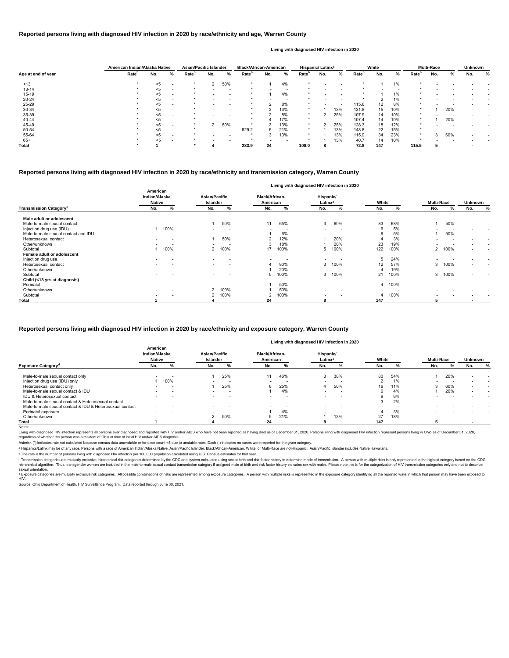|                                           | Living with diagnosed HIV infection in 2020 |                          |                                         |                          |                                   |                          |                                  |                          |                          |      |                   |      |                          |                          |
|-------------------------------------------|---------------------------------------------|--------------------------|-----------------------------------------|--------------------------|-----------------------------------|--------------------------|----------------------------------|--------------------------|--------------------------|------|-------------------|------|--------------------------|--------------------------|
|                                           | American<br>Indian/Alaska<br><b>Native</b>  |                          | <b>Asian/Pacific</b><br><b>Islander</b> |                          | <b>Black/African-</b><br>American |                          | Hispanic/<br>Latinx <sup>a</sup> |                          | White                    |      | <b>Multi-Race</b> |      | <b>Unknown</b>           |                          |
| <b>Transmission Category</b> <sup>c</sup> | No.                                         | %                        | No.                                     | %                        | No.                               | %                        | No.                              | %                        | No.                      | %    | No.               | %    | No.<br>%                 |                          |
| Male adult or adolescent                  |                                             |                          |                                         |                          |                                   |                          |                                  |                          |                          |      |                   |      |                          |                          |
| Male-to-male sexual contact               | $\overline{\phantom{0}}$                    |                          |                                         | 50%                      | 11                                | 65%                      | 3                                | 60%                      | 83                       | 68%  |                   | 50%  | $\overline{\phantom{0}}$ | $\overline{\phantom{0}}$ |
| Injection drug use (IDU)                  |                                             | 100%                     |                                         | $\overline{\phantom{0}}$ |                                   | $\overline{\phantom{a}}$ | $\overline{\phantom{a}}$         | $\overline{\phantom{a}}$ | 6                        | 5%   |                   |      | $\overline{\phantom{0}}$ | $\overline{\phantom{0}}$ |
| Male-to-male sexual contact and IDU       |                                             |                          |                                         |                          |                                   | 6%                       |                                  |                          | 6                        | 5%   |                   | 50%  | $\overline{\phantom{0}}$ | $\overline{\phantom{0}}$ |
| Heterosexual contact                      | $\overline{\phantom{a}}$                    | $\overline{\phantom{0}}$ |                                         | 50%                      |                                   | 12%                      |                                  | 20%                      |                          | 3%   |                   |      |                          | $\overline{\phantom{0}}$ |
| Other/unknown                             |                                             |                          |                                         |                          |                                   | 18%                      |                                  | 20%                      | 23                       | 19%  |                   |      |                          | $\overline{\phantom{0}}$ |
| Subtotal                                  |                                             | 100%                     |                                         | 2 100%                   | 17                                | 100%                     | 5                                | 100%                     | 122                      | 100% | $\overline{2}$    | 100% |                          | $\overline{\phantom{0}}$ |
| Female adult or adolescent                |                                             |                          |                                         |                          |                                   |                          |                                  |                          |                          |      |                   |      |                          |                          |
| Injection drug use                        |                                             | $\overline{\phantom{0}}$ |                                         | $\overline{\phantom{0}}$ |                                   |                          |                                  |                          | 5                        | 24%  |                   |      |                          |                          |
| Heterosexual contact                      |                                             |                          | $\overline{\phantom{0}}$                | $\overline{a}$           |                                   | 80%                      | 3                                | 100%                     | 12                       | 57%  | 3                 | 100% |                          |                          |
| Other/unknown                             |                                             | $\overline{\phantom{0}}$ | $\overline{\phantom{0}}$                | $\overline{a}$           |                                   | 20%                      |                                  |                          |                          | 19%  |                   |      | $\overline{\phantom{0}}$ | $\overline{\phantom{a}}$ |
| Subtotal                                  |                                             |                          |                                         | $\overline{a}$           | 5                                 | 100%                     | 3                                | 100%                     | 21                       | 100% | 3                 | 100% | $\overline{\phantom{a}}$ | $\overline{\phantom{a}}$ |
| Child (<13 yrs at diagnosis)              |                                             |                          |                                         |                          |                                   |                          |                                  |                          |                          |      |                   |      |                          |                          |
| Perinatal                                 | $\overline{\phantom{a}}$                    | $\overline{\phantom{0}}$ | $\overline{a}$                          | $\overline{\phantom{a}}$ |                                   | 50%                      | $\overline{a}$                   | $\overline{\phantom{a}}$ | 4                        | 100% |                   |      |                          |                          |
| Other/unknown                             | $\overline{\phantom{a}}$                    | $\overline{\phantom{a}}$ | $\mathbf{2}$                            | 100%                     |                                   | 50%                      | $\overline{\phantom{a}}$         | $\overline{\phantom{a}}$ | $\overline{\phantom{0}}$ |      |                   |      |                          | $\overline{\phantom{0}}$ |
| Subtotal                                  | $\overline{\phantom{0}}$                    |                          | $\mathbf{2}^{\circ}$                    | 100%                     |                                   | 100%                     |                                  | $\overline{\phantom{a}}$ | 4                        | 100% |                   |      |                          |                          |
| Total                                     |                                             |                          |                                         |                          | 24                                |                          | 8                                |                          | 147                      |      |                   |      | $\overline{\phantom{a}}$ |                          |

© Transmission categories are mutually exclusive, hierarchical risk categories determined by the CDC and system-calculated using sex at birth and risk factor history to determine mode of transmission. A person with multip hierarchical algorithm. Thus, transgender women are included in the male-to-male sexual contact transmission category if assigned male at birth and risk factor history indicates sex with males. Please note this is for the sexual orientation.

<sup>d</sup> Exposure categories are mutually exclusive risk categories. All possible combinations of risks are represented among exposure categories. A person with multiple risks is represented in the exposure category identifying

Living with diagnosed HIV infection represents all persons ever diagnosed and reported with HIV and/or AIDS who have not been reported as having died as of December 31, 2020. Persons living with diagnosed HIV infection rep regardless of whether the person was a resident of Ohio at time of initial HIV and/or AIDS diagnosis.

#### Notes:

#### **Reported persons living with diagnosed HIV infection in 2020 by race/ethnicity and transmission category, Warren County**

|                    |                   | American Indian/Alaska Native |   | <b>Asian/Pacific Islander</b> |               | <b>Black/African-American</b> |                   | Hispanic/ Latinx <sup>a</sup> |     | White             |     |                          | <b>Multi-Race</b> |                          |       | <b>Unknown</b>    |     |     |     |   |
|--------------------|-------------------|-------------------------------|---|-------------------------------|---------------|-------------------------------|-------------------|-------------------------------|-----|-------------------|-----|--------------------------|-------------------|--------------------------|-------|-------------------|-----|-----|-----|---|
| Age at end of year | Rate <sup>b</sup> | No.                           | % | Rate <sup>p</sup>             | No.           | %                             | Rate <sup>r</sup> | No.                           | %   | Rate <sup>"</sup> | No. | %                        | Rate <sup>r</sup> | No.                      | %     | Rate <sup>"</sup> | No. | %   | No. | % |
| ~13                |                   | $5$                           |   |                               | 2             | 50%                           |                   |                               | 4%  |                   |     |                          |                   |                          | $1\%$ |                   |     |     |     |   |
| $13 - 14$          |                   |                               |   |                               |               |                               |                   |                               |     |                   |     |                          |                   | $\overline{\phantom{0}}$ |       |                   |     |     |     |   |
| $15 - 19$          |                   | <5                            |   |                               |               |                               |                   |                               | 4%  |                   |     |                          |                   |                          | 1%    |                   |     |     |     |   |
| 20-24              |                   |                               |   |                               |               |                               |                   |                               |     |                   |     |                          |                   |                          | 1%    |                   |     |     |     |   |
| 25-29              |                   | <5                            |   |                               |               |                               |                   |                               | 8%  |                   |     | $\overline{\phantom{0}}$ | 115.6             | 12                       | 8%    |                   |     |     |     |   |
| 30-34              |                   | <5                            |   |                               |               |                               |                   |                               | 13% |                   |     | 13%                      | 131.8             | 15                       | 10%   |                   |     | 20% |     |   |
| 35-39              |                   |                               |   |                               |               |                               |                   |                               | 8%  |                   |     | 25%                      | 107.9             | 14                       | 10%   |                   |     |     |     |   |
| 40-44              |                   |                               |   |                               |               |                               |                   |                               | 17% |                   |     | $\overline{\phantom{0}}$ | 107.4             | 14                       | 10%   |                   |     | 20% |     |   |
| 45-49              |                   | < 5                           |   |                               | $\mathcal{P}$ | 50%                           |                   |                               | 13% | $\star$           |     | 25%                      | 128.3             | 18                       | 12%   |                   |     |     |     |   |
| 50-54              |                   | <5                            |   |                               |               | $\overline{\phantom{a}}$      | 829.2             |                               | 21% | $\star$           |     | 13%                      | 148.8             | 22                       | 15%   |                   |     |     |     |   |
| 55-64              |                   |                               |   |                               |               |                               |                   |                               | 13% | $\star$           |     | 13%                      | 115.9             | 34                       | 23%   |                   | 3   | 60% |     |   |
| $65+$              |                   | <5                            |   |                               |               |                               |                   |                               |     |                   |     | 13%                      | 40.7              | 14                       | 10%   |                   |     |     |     |   |
| <b>Total</b>       |                   |                               |   |                               |               |                               | 283.9             | 24                            |     | 108.0             |     |                          | 72.8              | 147                      |       | 115.5             |     |     |     |   |

#### **Reported persons living with diagnosed HIV infection in 2020 by race/ethnicity and age, Warren County**

#### **Living with diagnosed HIV infection in 2020**

#### **Reported persons living with diagnosed HIV infection in 2020 by race/ethnicity and exposure category, Warren County**

#### **Living with diagnosed HIV infection in 2020**

Source: Ohio Department of Health, HIV Surveillance Program. Data reported through June 30, 2021.

|                                                          | American<br>Indian/Alaska<br><b>Native</b> |                          | <b>Asian/Pacific</b><br>Islander |                          | <b>Black/African-</b><br>American |                          | Hispanic/<br>Latinx <sup>a</sup> |                          | White |                          | <b>Multi-Race</b> |     | <b>Unknown</b> |   |
|----------------------------------------------------------|--------------------------------------------|--------------------------|----------------------------------|--------------------------|-----------------------------------|--------------------------|----------------------------------|--------------------------|-------|--------------------------|-------------------|-----|----------------|---|
| <b>Exposure Category<sup>d</sup></b>                     | No.                                        |                          | No.                              |                          | No.                               |                          | No.                              |                          | No.   |                          | No.               |     | No.            | % |
| Male-to-male sexual contact only                         |                                            |                          |                                  | 25%                      | 11                                | 46%                      | c                                | 38%                      | 80    | 54%                      |                   | 20% |                |   |
| Injection drug use (IDU) only                            |                                            | 100%                     |                                  | $\overline{\phantom{a}}$ | $\overline{\phantom{a}}$          | $\overline{\phantom{a}}$ |                                  |                          |       | $1\%$                    |                   |     |                |   |
| Heterosexual contact only                                |                                            | $\overline{\phantom{a}}$ |                                  | 25%                      | 6                                 | 25%                      |                                  | 50%                      | 16    | 11%                      |                   | 60% |                |   |
| Male-to-male sexual contact & IDU                        |                                            |                          |                                  | $\overline{\phantom{a}}$ |                                   | 4%                       |                                  | $\overline{\phantom{a}}$ |       | 4%                       |                   | 20% |                |   |
| IDU & Heterosexual contact                               | $\overline{\phantom{0}}$                   | $\overline{\phantom{a}}$ | $\overline{\phantom{a}}$         | $\overline{\phantom{a}}$ | $\overline{\phantom{a}}$          | $\sim$                   | $\sim$                           | $\overline{\phantom{a}}$ |       | 6%                       |                   |     |                |   |
| Male-to-male sexual contact & Heterosexual contact       |                                            | -                        | $\overline{\phantom{a}}$         | $\overline{\phantom{a}}$ | $\overline{\phantom{0}}$          | $\overline{\phantom{a}}$ |                                  | . .                      | ◠     | 2%                       |                   |     |                |   |
| Male-to-male sexual contact & IDU & Heterosexual contact | $\overline{\phantom{0}}$                   |                          |                                  | $\overline{\phantom{0}}$ |                                   | $\overline{\phantom{a}}$ |                                  |                          |       | $\overline{\phantom{0}}$ |                   |     |                |   |
| Perinatal exposure                                       | $\sim$                                     |                          |                                  | $\overline{\phantom{0}}$ |                                   | 4%                       |                                  |                          |       | 3%                       |                   |     |                |   |
| Other/unknown                                            | $\sim$                                     | $\overline{\phantom{a}}$ | ົ                                | 50%                      |                                   | 21%                      |                                  | 13%                      | 27    | 18%                      |                   |     |                |   |
| Total                                                    |                                            |                          |                                  |                          | 24                                |                          |                                  |                          | 147   |                          |                   |     |                |   |

ᵇ The rate is the number of persons living with diagnosed HIV infection per 100,000 population calculated using U.S. Census estimates for that year.

Asterisk (\*) indicates rate not calculated because census data unavailable or for case count <5 due to unstable rates. Dash (-) indicates no cases were reported for the given category.

a Hispanics/Latinx may be of any race. Persons with a race of American Indian/Alaska Native, Asian/Pacific Islander, Black/African-American, White, or Multi-Race are not-Hispanic. Asian/Pacific Islander includes Native Haw

#### HIV.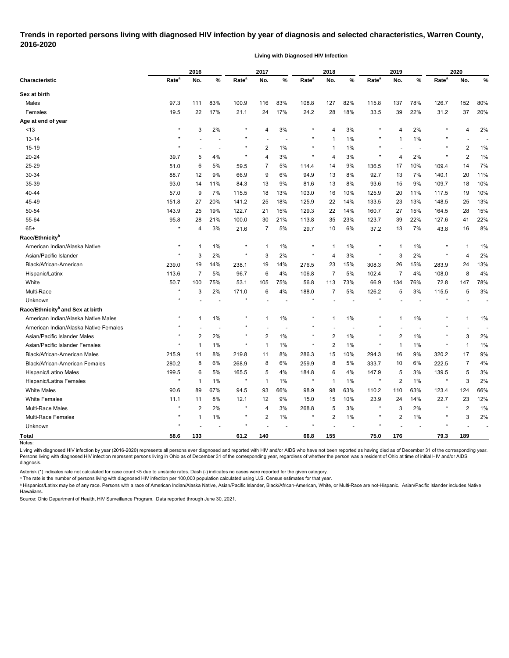### **Trends in reported persons living with diagnosed HIV infection by year of diagnosis and selected characteristics, Warren County, 2016-2020**

**Living with Diagnosed HIV Infection**

|                                              | 2016              |                |     |                   | 2017           |     |                   | 2018           |       |                   | 2019                    |                          | 2020              |                |       |
|----------------------------------------------|-------------------|----------------|-----|-------------------|----------------|-----|-------------------|----------------|-------|-------------------|-------------------------|--------------------------|-------------------|----------------|-------|
| <b>Characteristic</b>                        | Rate <sup>a</sup> | No.            | %   | Rate <sup>a</sup> | No.            | %   | Rate <sup>a</sup> | No.            | %     | Rate <sup>a</sup> | No.                     | %                        | Rate <sup>a</sup> | No.            | %     |
| Sex at birth                                 |                   |                |     |                   |                |     |                   |                |       |                   |                         |                          |                   |                |       |
| Males                                        | 97.3              | 111            | 83% | 100.9             | 116            | 83% | 108.8             | 127            | 82%   | 115.8             | 137                     | 78%                      | 126.7             | 152            | 80%   |
| Females                                      | 19.5              | 22             | 17% | 21.1              | 24             | 17% | 24.2              | 28             | 18%   | 33.5              | 39                      | 22%                      | 31.2              | 37             | 20%   |
| Age at end of year                           |                   |                |     |                   |                |     |                   |                |       |                   |                         |                          |                   |                |       |
| < 13                                         | $\star$           | 3              | 2%  |                   | 4              | 3%  | $\star$           | 4              | 3%    | $\ast$            | 4                       | 2%                       |                   | 4              | 2%    |
| $13 - 14$                                    | $^\star$          |                |     | ×                 |                |     | $\star$           |                | 1%    | $\ast$            | $\mathbf{1}$            | 1%                       | *                 |                |       |
| 15-19                                        | $\star$           |                | ٠   | $\star$           | $\overline{2}$ | 1%  | $\star$           |                | 1%    | $\star$           |                         | $\overline{\phantom{a}}$ | $\star$           | $\overline{2}$ | 1%    |
| 20-24                                        | 39.7              | 5              | 4%  | $\star$           | 4              | 3%  | $\star$           | 4              | 3%    | $\star$           | 4                       | 2%                       |                   | $\overline{2}$ | 1%    |
| 25-29                                        | 51.0              | 6              | 5%  | 59.5              | 7              | 5%  | 114.4             | 14             | 9%    | 136.5             | 17                      | 10%                      | 109.4             | 14             | 7%    |
| 30-34                                        | 88.7              | 12             | 9%  | 66.9              | 9              | 6%  | 94.9              | 13             | 8%    | 92.7              | 13                      | 7%                       | 140.1             | 20             | 11%   |
| 35-39                                        | 93.0              | 14             | 11% | 84.3              | 13             | 9%  | 81.6              | 13             | 8%    | 93.6              | 15                      | 9%                       | 109.7             | 18             | 10%   |
| 40-44                                        | 57.0              | 9              | 7%  | 115.5             | 18             | 13% | 103.0             | 16             | 10%   | 125.9             | 20                      | 11%                      | 117.5             | 19             | 10%   |
| 45-49                                        | 151.8             | 27             | 20% | 141.2             | 25             | 18% | 125.9             | 22             | 14%   | 133.5             | 23                      | 13%                      | 148.5             | 25             | 13%   |
| 50-54                                        | 143.9             | 25             | 19% | 122.7             | 21             | 15% | 129.3             | 22             | 14%   | 160.7             | 27                      | 15%                      | 164.5             | 28             | 15%   |
| 55-64                                        | 95.8              | 28             | 21% | 100.0             | 30             | 21% | 113.8             | 35             | 23%   | 123.7             | 39                      | 22%                      | 127.6             | 41             | 22%   |
| $65+$                                        | $\star$           | 4              | 3%  | 21.6              | 7              | 5%  | 29.7              | 10             | 6%    | 37.2              | 13                      | 7%                       | 43.8              | 16             | 8%    |
| Race/Ethnicity <sup>b</sup>                  |                   |                |     |                   |                |     |                   |                |       |                   |                         |                          |                   |                |       |
| American Indian/Alaska Native                | $\ast$            | -1             | 1%  |                   | 1              | 1%  | $\star$           |                | 1%    | $\ast$            | $\mathbf 1$             | 1%                       |                   | 1              | 1%    |
| Asian/Pacific Islander                       | $\star$           | 3              | 2%  | $^\star$          | 3              | 2%  | $\star$           | 4              | 3%    | $^\star$          | 3                       | 2%                       | $\star$           | 4              | 2%    |
| Black/African-American                       | 239.0             | 19             | 14% | 238.1             | 19             | 14% | 276.5             | 23             | 15%   | 308.3             | 26                      | 15%                      | 283.9             | 24             | 13%   |
| Hispanic/Latinx                              | 113.6             | $\overline{7}$ | 5%  | 96.7              | 6              | 4%  | 106.8             | 7              | 5%    | 102.4             | 7                       | 4%                       | 108.0             | 8              | 4%    |
| White                                        | 50.7              | 100            | 75% | 53.1              | 105            | 75% | 56.8              | 113            | 73%   | 66.9              | 134                     | 76%                      | 72.8              | 147            | 78%   |
| Multi-Race                                   | $\star$           | 3              | 2%  | 171.0             | 6              | 4%  | 188.0             | 7              | 5%    | 126.2             | 5                       | 3%                       | 115.5             | 5              | 3%    |
| Unknown                                      |                   |                |     |                   |                |     |                   |                |       |                   |                         |                          |                   |                |       |
| Race/Ethnicity <sup>b</sup> and Sex at birth |                   |                |     |                   |                |     |                   |                |       |                   |                         |                          |                   |                |       |
| American Indian/Alaska Native Males          | $^\star$          | $\mathbf{1}$   | 1%  |                   | 1              | 1%  | $\star$           | 1              | 1%    | $\star$           | $\mathbf{1}$            | 1%                       |                   | -1             | $1\%$ |
| American Indian/Alaska Native Females        |                   |                |     |                   |                |     |                   |                |       |                   |                         |                          |                   |                |       |
| Asian/Pacific Islander Males                 |                   | $\overline{2}$ | 2%  | $\star$           | 2              | 1%  | $\star$           | 2              | 1%    | $\star$           | 2                       | 1%                       | *                 | 3              | 2%    |
| Asian/Pacific Islander Females               | $\ast$            | $\mathbf{1}$   | 1%  | ×                 | $\mathbf{1}$   | 1%  | $\star$           | $\overline{c}$ | 1%    | $\star$           | $\mathbf{1}$            | 1%                       |                   | $\overline{1}$ | 1%    |
| Black/African-American Males                 | 215.9             | 11             | 8%  | 219.8             | 11             | 8%  | 286.3             | 15             | 10%   | 294.3             | 16                      | 9%                       | 320.2             | 17             | 9%    |
| <b>Black/African-American Females</b>        | 280.2             | 8              | 6%  | 268.9             | 8              | 6%  | 259.9             | 8              | 5%    | 333.7             | 10                      | 6%                       | 222.5             | 7              | 4%    |
| Hispanic/Latino Males                        | 199.5             | 6              | 5%  | 165.5             | 5              | 4%  | 184.8             | 6              | 4%    | 147.9             | 5                       | 3%                       | 139.5             | 5              | 3%    |
| Hispanic/Latina Females                      |                   | $\mathbf 1$    | 1%  |                   | 1              | 1%  | $\star$           |                | 1%    |                   | $\overline{c}$          | 1%                       |                   | 3              | 2%    |
| <b>White Males</b>                           | 90.6              | 89             | 67% | 94.5              | 93             | 66% | 98.9              | 98             | 63%   | 110.2             | 110                     | 63%                      | 123.4             | 124            | 66%   |
| <b>White Females</b>                         | 11.1              | 11             | 8%  | 12.1              | 12             | 9%  | 15.0              | 15             | 10%   | 23.9              | 24                      | 14%                      | 22.7              | 23             | 12%   |
| Multi-Race Males                             | $\star$           | $\overline{2}$ | 2%  |                   | 4              | 3%  | 268.8             | 5              | 3%    | $\ast$            | 3                       | 2%                       |                   | 2              | 1%    |
| Multi-Race Females                           | $^\star$          | 1              | 1%  | *                 | 2              | 1%  | $\star$           | 2              | $1\%$ | $\star$           | $\overline{\mathbf{c}}$ | 1%                       |                   | 3              | 2%    |
| Unknown                                      |                   |                |     |                   |                |     | $\star$           |                |       |                   |                         |                          |                   |                |       |
| <b>Total</b>                                 | 58.6              | 133            |     | 61.2              | 140            |     | 66.8              | 155            |       | 75.0              | 176                     |                          | 79.3              | 189            |       |
| Notes:                                       |                   |                |     |                   |                |     |                   |                |       |                   |                         |                          |                   |                |       |

Living with diagnosed HIV infection by year (2016-2020) represents all persons ever diagnosed and reported with HIV and/or AIDS who have not been reported as having died as of December 31 of the corresponding year. Persons living with diagnosed HIV infection represent persons living in Ohio as of December 31 of the corresponding year, regardless of whether the person was a resident of Ohio at time of initial HIV and/or AIDS diagnosis.

Asterisk (\*) indicates rate not calculated for case count <5 due to unstable rates. Dash (-) indicates no cases were reported for the given category.

<sup>a</sup> The rate is the number of persons living with diagnosed HIV infection per 100,000 population calculated using U.S. Census estimates for that year.

ᵇ Hispanics/Latinx may be of any race. Persons with a race of American Indian/Alaska Native, Asian/Pacific Islander, Black/African-American, White, or Multi-Race are not-Hispanic. Asian/Pacific Islander includes Native Hawaiians.